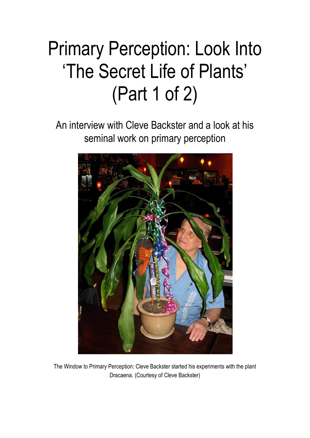# Primary Perception: Look Into "The Secret Life of Plants" (Part 1 of 2)

An interview with Cleve Backster and a look at his seminal work on primary perception



The Window to Primary Perception: Cleve Backster started his experiments with the plant Dracaena. (Courtesy of Cleve Backster)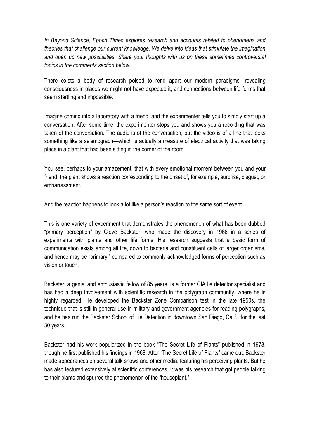*In Beyond Science, Epoch Times explores research and accounts related to phenomena and theories that challenge our current knowledge. We delve into ideas that stimulate the imagination and open up new possibilities. Share your thoughts with us on these sometimes controversial topics in the comments section below.*

There exists a body of research poised to rend apart our modern paradigms—revealing consciousness in places we might not have expected it, and connections between life forms that seem startling and impossible.

Imagine coming into a laboratory with a friend, and the experimenter tells you to simply start up a conversation. After some time, the experimenter stops you and shows you a recording that was taken of the conversation. The audio is of the conversation, but the video is of a line that looks something like a seismograph—which is actually a measure of electrical activity that was taking place in a plant that had been sitting in the corner of the room.

You see, perhaps to your amazement, that with every emotional moment between you and your friend, the plant shows a reaction corresponding to the onset of, for example, surprise, disgust, or embarrassment.

And the reaction happens to look a lot like a person"s reaction to the same sort of event.

This is one variety of experiment that demonstrates the phenomenon of what has been dubbed "primary perception" by Cleve Backster, who made the discovery in 1966 in a series of experiments with plants and other life forms. His research suggests that a basic form of communication exists among all life, down to bacteria and constituent cells of larger organisms, and hence may be "primary," compared to commonly acknowledged forms of perception such as vision or touch.

Backster, a genial and enthusiastic fellow of 85 years, is a former CIA lie detector specialist and has had a deep involvement with scientific research in the polygraph community, where he is highly regarded. He developed the Backster Zone Comparison test in the late 1950s, the technique that is still in general use in military and government agencies for reading polygraphs, and he has run the Backster School of Lie Detection in downtown San Diego, Calif., for the last 30 years.

Backster had his work popularized in the book "The Secret Life of Plants" published in 1973, though he first published his findings in 1968. After "The Secret Life of Plants" came out, Backster made appearances on several talk shows and other media, featuring his perceiving plants. But he has also lectured extensively at scientific conferences. It was his research that got people talking to their plants and spurred the phenomenon of the "houseplant."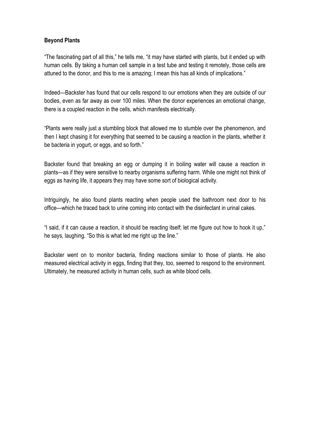## **Beyond Plants**

"The fascinating part of all this," he tells me, "it may have started with plants, but it ended up with human cells. By taking a human cell sample in a test tube and testing it remotely, those cells are attuned to the donor, and this to me is amazing; I mean this has all kinds of implications."

Indeed—Backster has found that our cells respond to our emotions when they are outside of our bodies, even as far away as over 100 miles. When the donor experiences an emotional change, there is a coupled reaction in the cells, which manifests electrically.

"Plants were really just a stumbling block that allowed me to stumble over the phenomenon, and then I kept chasing it for everything that seemed to be causing a reaction in the plants, whether it be bacteria in yogurt, or eggs, and so forth."

Backster found that breaking an egg or dumping it in boiling water will cause a reaction in plants—as if they were sensitive to nearby organisms suffering harm. While one might not think of eggs as having life, it appears they may have some sort of biological activity.

Intriguingly, he also found plants reacting when people used the bathroom next door to his office—which he traced back to urine coming into contact with the disinfectant in urinal cakes.

"I said, if it can cause a reaction, it should be reacting itself; let me figure out how to hook it up," he says, laughing. "So this is what led me right up the line."

Backster went on to monitor bacteria, finding reactions similar to those of plants. He also measured electrical activity in eggs, finding that they, too, seemed to respond to the environment. Ultimately, he measured activity in human cells, such as white blood cells.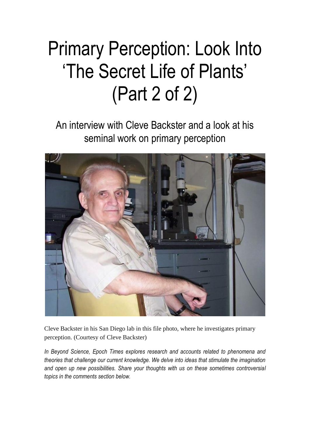# Primary Perception: Look Into "The Secret Life of Plants" (Part 2 of 2)

An interview with Cleve Backster and a look at his seminal work on primary perception



Cleve Backster in his San Diego lab in this file photo, where he investigates primary perception. (Courtesy of Cleve Backster)

*In Beyond Science, Epoch Times explores research and accounts related to phenomena and theories that challenge our current knowledge. We delve into ideas that stimulate the imagination and open up new possibilities. Share your thoughts with us on these sometimes controversial topics in the comments section below.*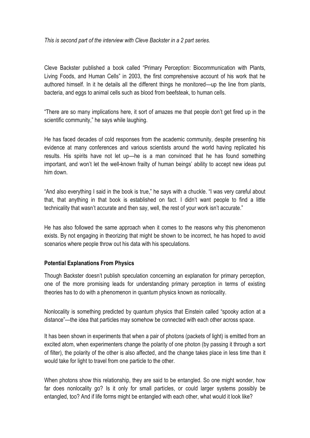*This is second part of the interview with Cleve Backster in a 2 part series.*

Cleve Backster published a book called "Primary Perception: Biocommunication with Plants, Living Foods, and Human Cells" in 2003, the first comprehensive account of his work that he authored himself. In it he details all the different things he monitored—up the line from plants, bacteria, and eggs to animal cells such as blood from beefsteak, to human cells.

"There are so many implications here, it sort of amazes me that people don"t get fired up in the scientific community," he says while laughing.

He has faced decades of cold responses from the academic community, despite presenting his evidence at many conferences and various scientists around the world having replicated his results. His spirits have not let up—he is a man convinced that he has found something important, and won't let the well-known frailty of human beings' ability to accept new ideas put him down.

"And also everything I said in the book is true," he says with a chuckle. "I was very careful about that, that anything in that book is established on fact. I didn"t want people to find a little technicality that wasn't accurate and then say, well, the rest of your work isn't accurate."

He has also followed the same approach when it comes to the reasons why this phenomenon exists. By not engaging in theorizing that might be shown to be incorrect, he has hoped to avoid scenarios where people throw out his data with his speculations.

#### **Potential Explanations From Physics**

Though Backster doesn"t publish speculation concerning an explanation for primary perception, one of the more promising leads for understanding primary perception in terms of existing theories has to do with a phenomenon in quantum physics known as nonlocality.

Nonlocality is something predicted by quantum physics that Einstein called "spooky action at a distance"—the idea that particles may somehow be connected with each other across space.

It has been shown in experiments that when a pair of photons (packets of light) is emitted from an excited atom, when experimenters change the polarity of one photon (by passing it through a sort of filter), the polarity of the other is also affected, and the change takes place in less time than it would take for light to travel from one particle to the other.

When photons show this relationship, they are said to be entangled. So one might wonder, how far does nonlocality go? Is it only for small particles, or could larger systems possibly be entangled, too? And if life forms might be entangled with each other, what would it look like?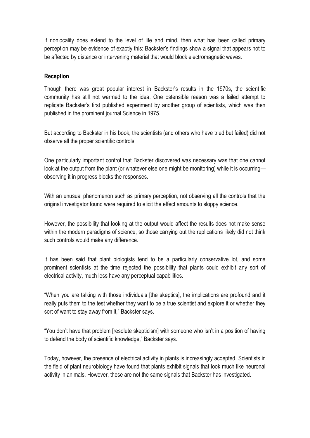If nonlocality does extend to the level of life and mind, then what has been called primary perception may be evidence of exactly this: Backster"s findings show a signal that appears not to be affected by distance or intervening material that would block electromagnetic waves.

#### **Reception**

Though there was great popular interest in Backster"s results in the 1970s, the scientific community has still not warmed to the idea. One ostensible reason was a failed attempt to replicate Backster's first published experiment by another group of scientists, which was then published in the prominent journal Science in 1975.

But according to Backster in his book, the scientists (and others who have tried but failed) did not observe all the proper scientific controls.

One particularly important control that Backster discovered was necessary was that one cannot look at the output from the plant (or whatever else one might be monitoring) while it is occurring observing it in progress blocks the responses.

With an unusual phenomenon such as primary perception, not observing all the controls that the original investigator found were required to elicit the effect amounts to sloppy science.

However, the possibility that looking at the output would affect the results does not make sense within the modern paradigms of science, so those carrying out the replications likely did not think such controls would make any difference.

It has been said that plant biologists tend to be a particularly conservative lot, and some prominent scientists at the time rejected the possibility that plants could exhibit any sort of electrical activity, much less have any perceptual capabilities.

"When you are talking with those individuals [the skeptics], the implications are profound and it really puts them to the test whether they want to be a true scientist and explore it or whether they sort of want to stay away from it," Backster says.

"You don"t have that problem [resolute skepticism] with someone who isn"t in a position of having to defend the body of scientific knowledge," Backster says.

Today, however, the presence of electrical activity in plants is increasingly accepted. Scientists in the field of plant neurobiology have found that plants exhibit signals that look much like neuronal activity in animals. However, these are not the same signals that Backster has investigated.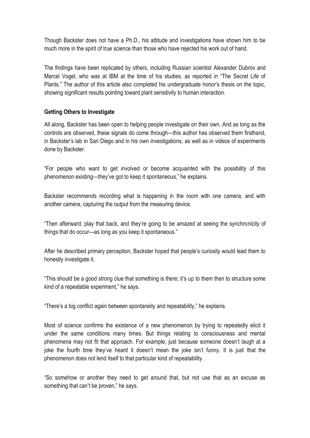Though Backster does not have a Ph.D., his attitude and investigations have shown him to be much more in the spirit of true science than those who have rejected his work out of hand.

The findings have been replicated by others, including Russian scientist Alexander Dubrov and Marcel Vogel, who was at IBM at the time of his studies, as reported in "The Secret Life of Plants." The author of this article also completed his undergraduate honor"s thesis on the topic, showing significant results pointing toward plant sensitivity to human interaction.

## **Getting Others to Investigate**

All along, Backster has been open to helping people investigate on their own. And as long as the controls are observed, these signals do come through—this author has observed them firsthand, in Backster"s lab in San Diego and in his own investigations, as well as in videos of experiments done by Backster.

"For people who want to get involved or become acquainted with the possibility of this phenomenon existing—they"ve got to keep it spontaneous," he explains.

Backster recommends recording what is happening in the room with one camera, and with another camera, capturing the output from the measuring device.

"Then afterward, play that back, and they"re going to be amazed at seeing the synchronicity of things that do occur—as long as you keep it spontaneous."

After he described primary perception, Backster hoped that people"s curiosity would lead them to honestly investigate it.

"This should be a good strong clue that something is there; it"s up to them then to structure some kind of a repeatable experiment," he says.

"There"s a big conflict again between spontaneity and repeatability," he explains.

Most of science confirms the existence of a new phenomenon by trying to repeatedly elicit it under the same conditions many times. But things relating to consciousness and mental phenomena may not fit that approach. For example, just because someone doesn"t laugh at a joke the fourth time they"ve heard it doesn"t mean the joke isn"t funny. It is just that the phenomenon does not lend itself to that particular kind of repeatability.

"So somehow or another they need to get around that, but not use that as an excuse as something that can't be proven," he says.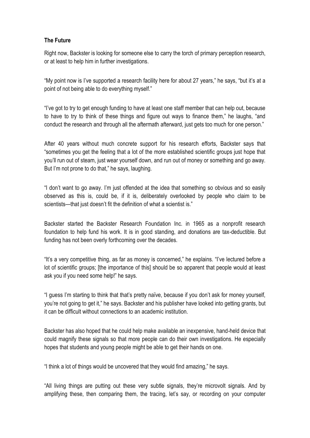## **The Future**

Right now, Backster is looking for someone else to carry the torch of primary perception research, or at least to help him in further investigations.

"My point now is I"ve supported a research facility here for about 27 years," he says, "but it"s at a point of not being able to do everything myself."

"I"ve got to try to get enough funding to have at least one staff member that can help out, because to have to try to think of these things and figure out ways to finance them," he laughs, "and conduct the research and through all the aftermath afterward, just gets too much for one person."

After 40 years without much concrete support for his research efforts, Backster says that "sometimes you get the feeling that a lot of the more established scientific groups just hope that you"ll run out of steam, just wear yourself down, and run out of money or something and go away. But I'm not prone to do that," he says, laughing.

"I don"t want to go away. I"m just offended at the idea that something so obvious and so easily observed as this is, could be, if it is, deliberately overlooked by people who claim to be scientists—that just doesn't fit the definition of what a scientist is."

Backster started the Backster Research Foundation Inc. in 1965 as a nonprofit research foundation to help fund his work. It is in good standing, and donations are tax-deductible. But funding has not been overly forthcoming over the decades.

"It"s a very competitive thing, as far as money is concerned," he explains. "I"ve lectured before a lot of scientific groups; [the importance of this] should be so apparent that people would at least ask you if you need some help!" he says.

"I guess I"m starting to think that that"s pretty naïve, because if you don"t ask for money yourself, you"re not going to get it," he says. Backster and his publisher have looked into getting grants, but it can be difficult without connections to an academic institution.

Backster has also hoped that he could help make available an inexpensive, hand-held device that could magnify these signals so that more people can do their own investigations. He especially hopes that students and young people might be able to get their hands on one.

"I think a lot of things would be uncovered that they would find amazing," he says.

"All living things are putting out these very subtle signals, they"re microvolt signals. And by amplifying these, then comparing them, the tracing, let"s say, or recording on your computer